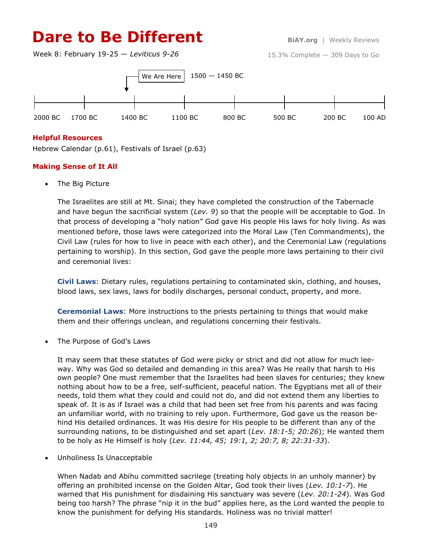# **Dare to Be Different BiAY.org** | Weekly Reviews

Week 8: February 19-25 — *Leviticus 9-26*

15.3% Complete — 309 Days to Go



### **Helpful Resources**

Hebrew Calendar (p.61), Festivals of Israel (p.63)

### **Making Sense of It All**

• The Big Picture

The Israelites are still at Mt. Sinai; they have completed the construction of the Tabernacle and have begun the sacrificial system (*Lev. 9*) so that the people will be acceptable to God. In that process of developing a "holy nation" God gave His people His laws for holy living. As was mentioned before, those laws were categorized into the Moral Law (Ten Commandments), the Civil Law (rules for how to live in peace with each other), and the Ceremonial Law (regulations pertaining to worship). In this section, God gave the people more laws pertaining to their civil and ceremonial lives:

**Civil Laws**: Dietary rules, regulations pertaining to contaminated skin, clothing, and houses, blood laws, sex laws, laws for bodily discharges, personal conduct, property, and more.

**Ceremonial Laws**: More instructions to the priests pertaining to things that would make them and their offerings unclean, and regulations concerning their festivals.

The Purpose of God's Laws

It may seem that these statutes of God were picky or strict and did not allow for much leeway. Why was God so detailed and demanding in this area? Was He really that harsh to His own people? One must remember that the Israelites had been slaves for centuries; they knew nothing about how to be a free, self-sufficient, peaceful nation. The Egyptians met all of their needs, told them what they could and could not do, and did not extend them any liberties to speak of. It is as if Israel was a child that had been set free from his parents and was facing an unfamiliar world, with no training to rely upon. Furthermore, God gave us the reason behind His detailed ordinances. It was His desire for His people to be different than any of the surrounding nations, to be distinguished and set apart (*Lev. 18:1-5; 20:26*); He wanted them to be holy as He Himself is holy (*Lev. 11:44, 45; 19:1, 2; 20:7, 8; 22:31-33*).

Unholiness Is Unacceptable

When Nadab and Abihu committed sacrilege (treating holy objects in an unholy manner) by offering an prohibited incense on the Golden Altar, God took their lives (*Lev. 10:1-7*). He warned that His punishment for disdaining His sanctuary was severe (*Lev. 20:1-24*). Was God being too harsh? The phrase "nip it in the bud" applies here, as the Lord wanted the people to know the punishment for defying His standards. Holiness was no trivial matter!